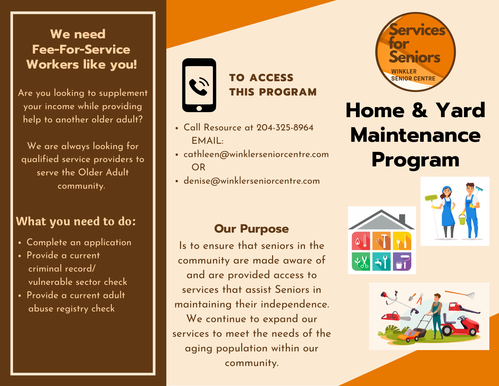#### **We need Fee-For-Service Workers like you!**

Are you looking to supplement your income while providing help to another older adult?

We are always looking for qualified service providers to serve the Older Adult community.

#### **What you need to do:**

- Complete an application
- Provide a current criminal record/ vulnerable sector check
- Provide a current adult abuse registry check



## **TO ACCESS THIS PROGRAM**

- Call Resource at 204-325-8964 EMAIL:
- cathleen@winklerseniorcentre.com OR
- denise@winklerseniorcentre.com



# **Home & Yard Maintenance Program**

#### **Our Purpose**

Is to ensure that seniors in the community are made aware of and are provided access to services that assist Seniors in maintaining their independence.

We continue to expand our services to meet the needs of the aging population within our community.